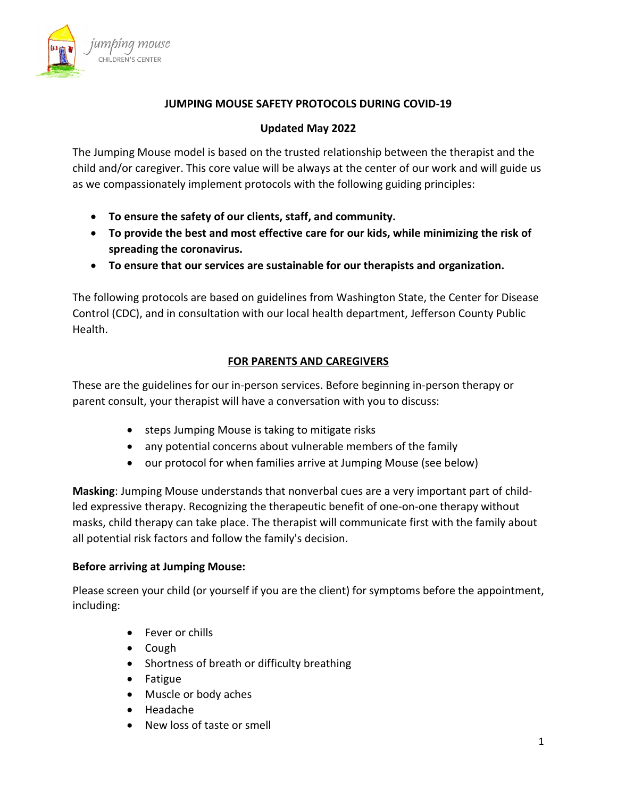

# **JUMPING MOUSE SAFETY PROTOCOLS DURING COVID-19**

# **Updated May 2022**

The Jumping Mouse model is based on the trusted relationship between the therapist and the child and/or caregiver. This core value will be always at the center of our work and will guide us as we compassionately implement protocols with the following guiding principles:

- **To ensure the safety of our clients, staff, and community.**
- **To provide the best and most effective care for our kids, while minimizing the risk of spreading the coronavirus.**
- **To ensure that our services are sustainable for our therapists and organization.**

The following protocols are based on guidelines from Washington State, the Center for Disease Control (CDC), and in consultation with our local health department, Jefferson County Public Health.

# **FOR PARENTS AND CAREGIVERS**

These are the guidelines for our in-person services. Before beginning in-person therapy or parent consult, your therapist will have a conversation with you to discuss:

- steps Jumping Mouse is taking to mitigate risks
- any potential concerns about vulnerable members of the family
- our protocol for when families arrive at Jumping Mouse (see below)

**Masking**: Jumping Mouse understands that nonverbal cues are a very important part of childled expressive therapy. Recognizing the therapeutic benefit of one-on-one therapy without masks, child therapy can take place. The therapist will communicate first with the family about all potential risk factors and follow the family's decision.

# **Before arriving at Jumping Mouse:**

Please screen your child (or yourself if you are the client) for symptoms before the appointment, including:

- Fever or chills
- Cough
- Shortness of breath or difficulty breathing
- Fatigue
- Muscle or body aches
- Headache
- New loss of taste or smell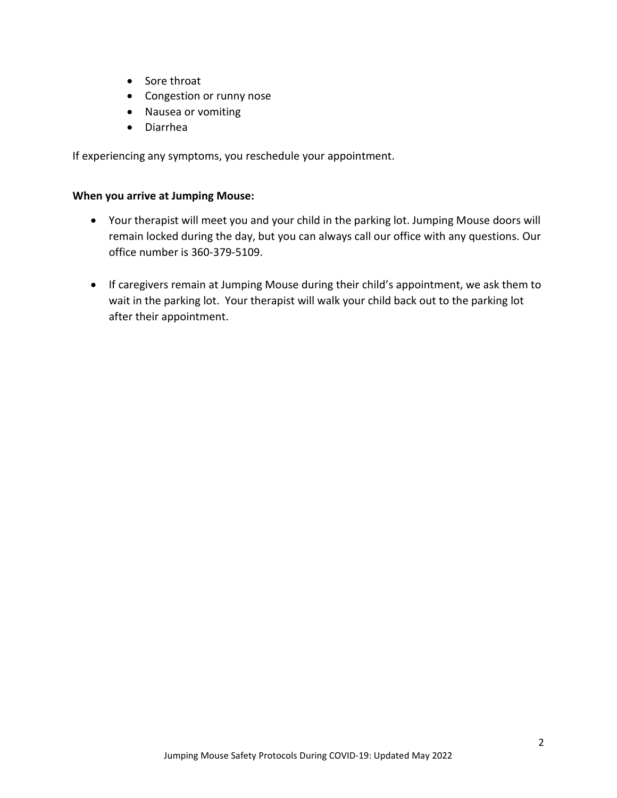- Sore throat
- Congestion or runny nose
- Nausea or vomiting
- Diarrhea

If experiencing any symptoms, you reschedule your appointment.

#### **When you arrive at Jumping Mouse:**

- Your therapist will meet you and your child in the parking lot. Jumping Mouse doors will remain locked during the day, but you can always call our office with any questions. Our office number is 360-379-5109.
- If caregivers remain at Jumping Mouse during their child's appointment, we ask them to wait in the parking lot. Your therapist will walk your child back out to the parking lot after their appointment.